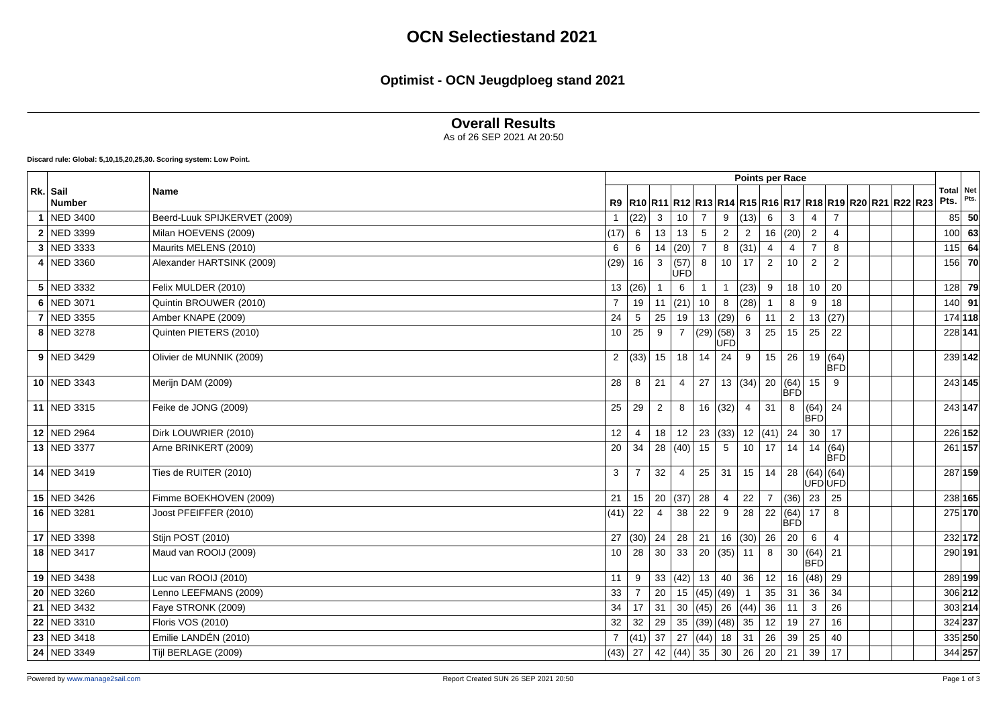#### **Optimist - OCN Jeugdploeg stand 2021**

#### **Overall Results**

As of 26 SEP 2021 At 20:50

**Discard rule: Global: 5,10,15,20,25,30. Scoring system: Low Point.**

|                           |                              | <b>Points per Race</b> |                |                |                    |                        |                |                      |                |                    |                       |                                                                       |  |  |                                                            |  |                          |      |
|---------------------------|------------------------------|------------------------|----------------|----------------|--------------------|------------------------|----------------|----------------------|----------------|--------------------|-----------------------|-----------------------------------------------------------------------|--|--|------------------------------------------------------------|--|--------------------------|------|
| Rk. Sail<br><b>Number</b> | <b>Name</b>                  |                        |                |                |                    |                        |                |                      |                |                    |                       |                                                                       |  |  | R9 R10 R11 R12 R13 R14 R15 R16 R17 R18 R19 R20 R21 R22 R23 |  | <b>Total</b> Net<br>Pts. | Pts. |
| NED 3400                  | Beerd-Luuk SPIJKERVET (2009) | $\overline{1}$         | (22)           | $\mathbf{3}$   | 10 <sup>°</sup>    | $\overline{7}$         | 9              | (13)                 | 6              | 3                  | $\overline{4}$        | $\overline{7}$                                                        |  |  |                                                            |  | 85                       | 50   |
| 2 NED 3399                | Milan HOEVENS (2009)         | (17)                   | 6              | 13             | 13                 | 5                      | 2              | $\overline{2}$       |                | 16  (20)           | $\overline{2}$        | 4                                                                     |  |  |                                                            |  | $100$ 63                 |      |
| 3 NED 3333                | Maurits MELENS (2010)        | 6                      | 6              | 14             | $ (20) $ 7         |                        | 8              | (31)                 | $\overline{4}$ | $\overline{4}$     | $\overline{7}$        | 8                                                                     |  |  |                                                            |  | $115$ 64                 |      |
| 4 NED 3360                | Alexander HARTSINK (2009)    | (29)                   | 16             | 3              | (57)<br><b>ÚFD</b> | 8                      | 10             | 17                   | 2              | 10                 | $\overline{2}$        | $\overline{2}$                                                        |  |  |                                                            |  | 156 70                   |      |
| 5 NED 3332                | Felix MULDER (2010)          |                        | 13  (26)       | $\mathbf{1}$   | 6                  |                        | $\mathbf{1}$   | $\vert$ (23) $\vert$ | 9              | 18                 | 10                    | 20                                                                    |  |  |                                                            |  | 128 79                   |      |
| 6 NED 3071                | Quintin BROUWER (2010)       | $\overline{7}$         | 19             | 11             | (21)               | 10                     | 8              | (28)                 |                | 8                  | 9                     | 18                                                                    |  |  |                                                            |  | $140$ 91                 |      |
| 7 NED 3355                | Amber KNAPE (2009)           | 24                     | 5              | 25             | 19                 |                        | 13(29)         | 6                    | 11             | $\overline{2}$     |                       | 13   (27)                                                             |  |  |                                                            |  | 174 118                  |      |
| 8 NED 3278                | Quinten PIETERS (2010)       | 10                     | 25             | 9              | $\overline{7}$     | (29)(58)               | UFD            | $\mathbf{3}$         | 25             | 15                 | 25                    | 22                                                                    |  |  |                                                            |  | 228 141                  |      |
| $9$ NED 3429              | Olivier de MUNNIK (2009)     |                        | 2  (33)  15    |                | 18                 | 14                     | 24             | 9                    | 15             | 26                 |                       | $\begin{array}{ c c }\n\hline\n19 & (64) \\ \hline\nBFD\n\end{array}$ |  |  |                                                            |  | 239 142                  |      |
| 10 NED 3343               | Merijn DAM (2009)            | 28                     | 8              | 21             | $\overline{4}$     | 27                     |                | 13  (34)   20  (64)  |                | <b>BFD</b>         | 15                    | 9                                                                     |  |  |                                                            |  | 243 145                  |      |
| 11 NED 3315               | Feike de JONG (2009)         | 25                     | 29             | $\overline{2}$ | 8                  |                        | 16(32)         | 4                    | 31             | 8                  | (64) 24<br><b>BFD</b> |                                                                       |  |  |                                                            |  | 243 147                  |      |
| 12 NED 2964               | Dirk LOUWRIER (2010)         | 12                     | $\overline{4}$ | 18             |                    | $12 \mid 23 \mid (33)$ |                |                      | 12  (41)       | 24                 | 30                    | 17                                                                    |  |  |                                                            |  | 226 152                  |      |
| 13 NED 3377               | Arne BRINKERT (2009)         | 20                     | 34             | 28             |                    | $(40)$ 15              | 5              |                      | $10$   17      | 14                 |                       | 14   (64)<br><b>BFD</b>                                               |  |  |                                                            |  | 261 157                  |      |
| 14 NED 3419               | Ties de RUITER (2010)        | 3                      | $\overline{7}$ | 32             | $\overline{4}$     | 25                     | 31             |                      | 15 14          | 28                 | (64) (64)<br> ÙFÓ ÙFÓ |                                                                       |  |  |                                                            |  | 287 159                  |      |
| 15 NED 3426               | Fimme BOEKHOVEN (2009)       | 21                     | 15             | 20             | $(37)$ 28          |                        | $\overline{4}$ | 22                   | $\overline{7}$ | (36)               | 23                    | 25                                                                    |  |  |                                                            |  | 238 165                  |      |
| 16 NED 3281               | Joost PFEIFFER (2010)        | (41)                   | 22             | $\overline{4}$ | 38                 | 22                     | 9              | 28                   | 22             | (64)<br><b>BFD</b> | 17                    | 8                                                                     |  |  |                                                            |  | 275 170                  |      |
| 17 NED 3398               | Stijn POST (2010)            | 27                     | (30)           | 24             |                    | $28$ 21                |                | 16 $(30)$ 26         |                | 20                 | $6\overline{6}$       | $\overline{4}$                                                        |  |  |                                                            |  | 232 172                  |      |
| 18 NED 3417               | Maud van ROOIJ (2009)        | 10                     | 28             | 30             |                    | 33   20   (35)         |                | 11                   | 8              | 30                 | (64)<br>BFD           | 21                                                                    |  |  |                                                            |  | 290 191                  |      |
| 19 NED 3438               | Luc van ROOIJ (2010)         | 11                     | 9              | 33             |                    | $(42)$ 13              | 40             | 36                   | 12             | 16                 | (48)                  | 29                                                                    |  |  |                                                            |  | 289 199                  |      |
| 20 NED 3260               | Lenno LEEFMANS (2009)        | 33                     | $\overline{7}$ | 20             |                    | 15 (45) (49)           |                |                      | 35             | 31                 | 36                    | 34                                                                    |  |  |                                                            |  | 306 212                  |      |
| 21 NED 3432               | Faye STRONK (2009)           | 34                     | 17             | 31             |                    | 30 $ (45)$ 26          |                | $ (44) $ 36          |                | 11                 | $\mathbf{3}$          | 26                                                                    |  |  |                                                            |  | 303 214                  |      |
| 22 NED $3310$             | Floris VOS (2010)            | 32                     | 32             | 29             |                    | 35 $(39)(48)$          |                |                      | $35 \mid 12$   | 19                 | 27                    | 16                                                                    |  |  |                                                            |  | 324 237                  |      |
| 23 NED 3418               | Emilie LANDÉN (2010)         | $\overline{7}$         | $(41)$ 37      |                | 27                 | (44)                   | 18             | 31                   | 26             | 39                 | 25                    | 40                                                                    |  |  |                                                            |  | 335 250                  |      |
| 24 NED 3349               | Tijl BERLAGE (2009)          |                        | $(43)$ 27      |                |                    | 42 $(44)$ 35 30        |                | $26 \mid 20$         |                | 21                 | 39                    | 17                                                                    |  |  |                                                            |  | 344 257                  |      |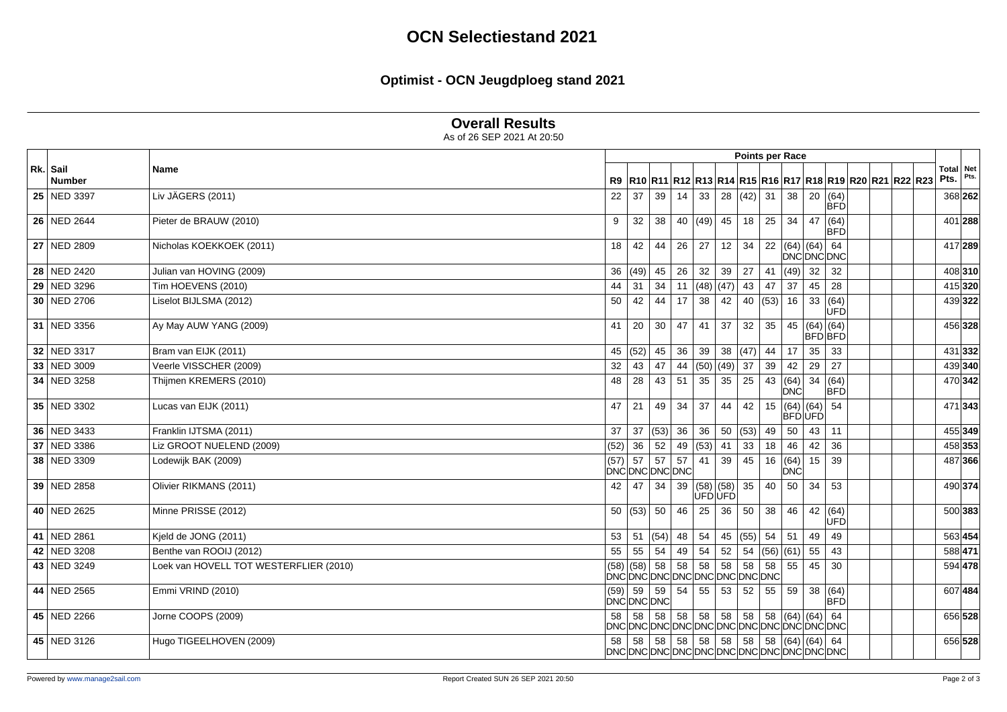# **OCN Selectiestand 2021**

# **Optimist - OCN Jeugdploeg stand 2021**

### **Overall Results**

As of 26 SEP 2021 At 20:50

|                           |                                        |                          |                 |                                             |    |                        |                 | <b>Points per Race</b> |           |                    |                              |                 |                                                                          |                   |         |
|---------------------------|----------------------------------------|--------------------------|-----------------|---------------------------------------------|----|------------------------|-----------------|------------------------|-----------|--------------------|------------------------------|-----------------|--------------------------------------------------------------------------|-------------------|---------|
| Rk. Sail<br><b>Number</b> | Name                                   |                          |                 |                                             |    |                        |                 |                        |           |                    |                              |                 | R9  R10  R11  R12  R13  R14  R15  R16  R17  R18  R19  R20  R21  R22  R23 | Total Net<br>Pts. | Pts.    |
| 25 NED 3397               | Liv JÄGERS (2011)                      | 22                       | 37              | 39                                          | 14 | 33                     | 28              | $(42)$ 31              |           | 38                 | 20 (64)                      | <b>BFD</b>      |                                                                          |                   | 368 262 |
| 26 NED 2644               | Pieter de BRAUW (2010)                 | 9                        | 32              | 38                                          |    | 40 $ (49)$ 45          |                 | $18 \mid 25$           |           | 34                 | 47 (64)                      | BFD             |                                                                          |                   | 401 288 |
| 27 NED 2809               | Nicholas KOEKKOEK (2011)               | 18                       | 42              | 44                                          |    | $26 \mid 27$           | 12              | 34                     |           |                    | 22 (64) (64) 64<br>DNĆDNĆDNC |                 |                                                                          |                   | 417 289 |
| 28 NED 2420               | Julian van HOVING (2009)               | 36                       | (49)            | 45                                          | 26 | 32                     | 39              | $27$ 41                |           | (49)               | 32                           | 32              |                                                                          |                   | 408 310 |
| 29 NED 3296               | Tim HOEVENS (2010)                     | 44                       | 31              | 34                                          | 11 | $(48)$ (47)            |                 | $43 \mid 47$           |           | 37                 | 45                           | $\overline{28}$ |                                                                          |                   | 415 320 |
| 30 NED 2706               | Liselot BIJLSMA (2012)                 | 50                       | 42              | 44                                          | 17 | 38                     | 42              |                        | 40 $(53)$ | 16                 | 33   (64)                    | <b>UFD</b>      |                                                                          |                   | 439 322 |
| 31 NED 3356               | Ay May AUW YANG (2009)                 | 41                       | 20              | 30                                          | 47 | 41                     | 37              | 32                     | 35        | 45                 | $(64)$ (64)<br>BFDBFD        |                 |                                                                          |                   | 456 328 |
| 32 NED 3317               | Bram van EIJK (2011)                   | 45                       | (52)            | 45                                          | 36 | 39                     | 38              | (47)                   | 44        | 17                 | 35                           | 33              |                                                                          |                   | 431 332 |
| 33 NED 3009               | Veerle VISSCHER (2009)                 | 32                       | 43              | 47                                          |    | 44  (50)  (49)         |                 | 37                     | 39        | 42                 | 29                           | $\overline{27}$ |                                                                          |                   | 439 340 |
| 34 NED 3258               | Thijmen KREMERS (2010)                 | 48                       | 28              | 43                                          | 51 | 35                     | 35              | 25                     | 43        | (64)<br><b>DNC</b> | 34   (64)                    | <b>BFD</b>      |                                                                          |                   | 470 342 |
| 35 NED 3302               | Lucas van EIJK (2011)                  | 47                       | 21              | 49                                          | 34 | 37                     | 44              | 42                     | 15        | (64)<br> BFÓ ÙFÓ   | (64)                         | 54              |                                                                          |                   | 471 343 |
| 36 NED 3433               | Franklin IJTSMA (2011)                 | 37                       | 37              | (53)                                        | 36 | 36                     | 50              | $(53)$ 49              |           | 50                 | 43                           | 11              |                                                                          |                   | 455 349 |
| 37 NED 3386               | Liz GROOT NUELEND (2009)               | (52)                     | 36              | 52                                          |    | 49 (53)                | 41              | 33                     | 18        | 46                 | 42                           | 36              |                                                                          |                   | 458 353 |
| 38 NED 3309               | Lodewijk BAK (2009)                    | (57)                     | 57              | 57<br>DNCDNCDNCDNC                          | 57 | 41                     | 39              | 45                     | 16        | (64)<br><b>DNC</b> | 15                           | 39              |                                                                          |                   | 487 366 |
| 39 NED 2858               | Olivier RIKMANS (2011)                 | 42                       | 47              | 34                                          |    | 39 (58) (58)<br>UFDUFD |                 | 35                     | 40        | 50                 | 34                           | 53              |                                                                          |                   | 490 374 |
| 40 NED 2625               | Minne PRISSE (2012)                    |                          | 50   (53)   50  |                                             | 46 | 25                     | 36              | 50                     | 38        | 46                 | 42 (64)                      | UFD             |                                                                          |                   | 500 383 |
| 41 NED 2861               | Kjeld de JONG (2011)                   | 53                       | 51              | (54)                                        | 48 | 54                     | 45              | $(55)$ 54              |           | 51                 | 49                           | 49              |                                                                          |                   | 563 454 |
| 42 NED 3208               | Benthe van ROOIJ (2012)                | 55                       | 55              | 54                                          | 49 | 54                     | 52              |                        |           | 54   (56)   (61)   | 55                           | 43              |                                                                          |                   | 588 471 |
| 43 NED 3249               | Loek van HOVELL TOT WESTERFLIER (2010) |                          | $(58)$ (58) 58  | DNCDNCDNCDNCDNCDNCDNCDNCDNC                 | 58 | 58                     | $\overline{58}$ | $58$ 58                |           | 55                 | 45                           | 30              |                                                                          |                   | 594 478 |
| 44 NED 2565               | Emmi VRIND (2010)                      | (59)<br><b>DNCDNCDNC</b> | 59 59           |                                             | 54 | 55                     | 53              | 52                     | 55        | 59                 | 38 (64)<br>BFD               |                 |                                                                          |                   | 607 484 |
| 45 NED 2266               | Jorne COOPS (2009)                     | 58                       | 58              | 58<br>DNCDNCDNCDNCDNCDNCDNCDNCDNCDNCDNCDNCD | 58 | 58                     | 58              | 58                     | 58        |                    | (64)   (64)   64             |                 |                                                                          |                   | 656 528 |
| 45 NED 3126               | Hugo TIGEELHOVEN (2009)                | 58                       | 58 <sup>°</sup> | 58<br>DNCDNCDNCDNCDNCDNCDNCDNCDNCDNCDNCDNC  | 58 | 58                     | $\overline{58}$ |                        |           |                    | 58   58   (64)   (64)   64   |                 |                                                                          |                   | 656 528 |